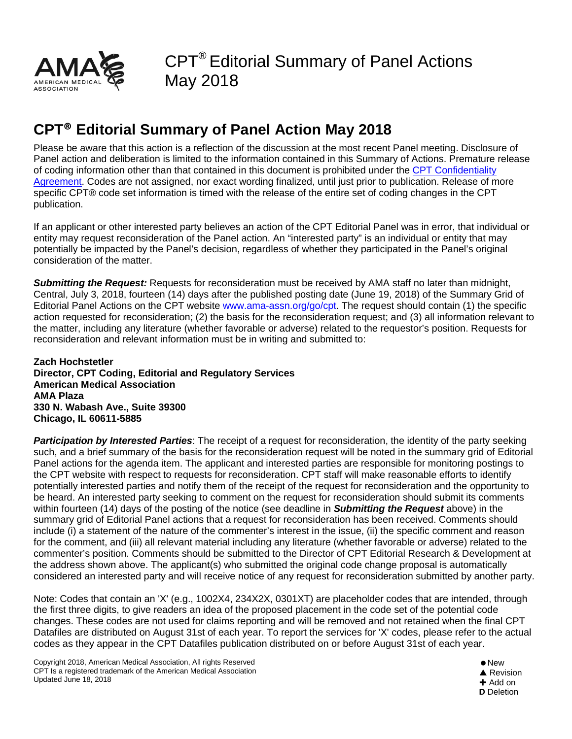

## **CPT® Editorial Summary of Panel Action May 2018**

Please be aware that this action is a reflection of the discussion at the most recent Panel meeting. Disclosure of Panel action and deliberation is limited to the information contained in this Summary of Actions. Premature release of coding information other than that contained in this document is prohibited under the [CPT Confidentiality](https://download.ama-assn.org/resources/doc/cpt/x-pub/cpt-confidentiality-agreement.pdf)  [Agreement.](https://download.ama-assn.org/resources/doc/cpt/x-pub/cpt-confidentiality-agreement.pdf) Codes are not assigned, nor exact wording finalized, until just prior to publication. Release of more specific CPT® code set information is timed with the release of the entire set of coding changes in the CPT publication.

If an applicant or other interested party believes an action of the CPT Editorial Panel was in error, that individual or entity may request reconsideration of the Panel action. An "interested party" is an individual or entity that may potentially be impacted by the Panel's decision, regardless of whether they participated in the Panel's original consideration of the matter.

*Submitting the Request:* Requests for reconsideration must be received by AMA staff no later than midnight, Central, July 3, 2018, fourteen (14) days after the published posting date (June 19, 2018) of the Summary Grid of Editorial Panel Actions on the CPT website www.ama-assn.org/go/cpt. The request should contain (1) the specific action requested for reconsideration; (2) the basis for the reconsideration request; and (3) all information relevant to the matter, including any literature (whether favorable or adverse) related to the requestor's position. Requests for reconsideration and relevant information must be in writing and submitted to:

**Zach Hochstetler Director, CPT Coding, Editorial and Regulatory Services American Medical Association AMA Plaza 330 N. Wabash Ave., Suite 39300 Chicago, IL 60611-5885** 

*Participation by Interested Parties*: The receipt of a request for reconsideration, the identity of the party seeking such, and a brief summary of the basis for the reconsideration request will be noted in the summary grid of Editorial Panel actions for the agenda item. The applicant and interested parties are responsible for monitoring postings to the CPT website with respect to requests for reconsideration. CPT staff will make reasonable efforts to identify potentially interested parties and notify them of the receipt of the request for reconsideration and the opportunity to be heard. An interested party seeking to comment on the request for reconsideration should submit its comments within fourteen (14) days of the posting of the notice (see deadline in *Submitting the Request* above) in the summary grid of Editorial Panel actions that a request for reconsideration has been received. Comments should include (i) a statement of the nature of the commenter's interest in the issue, (ii) the specific comment and reason for the comment, and (iii) all relevant material including any literature (whether favorable or adverse) related to the commenter's position. Comments should be submitted to the Director of CPT Editorial Research & Development at the address shown above. The applicant(s) who submitted the original code change proposal is automatically considered an interested party and will receive notice of any request for reconsideration submitted by another party.

Note: Codes that contain an 'X' (e.g., 1002X4, 234X2X, 0301XT) are placeholder codes that are intended, through the first three digits, to give readers an idea of the proposed placement in the code set of the potential code changes. These codes are not used for claims reporting and will be removed and not retained when the final CPT Datafiles are distributed on August 31st of each year. To report the services for 'X' codes, please refer to the actual codes as they appear in the CPT Datafiles publication distributed on or before August 31st of each year.

Copyright 2018, American Medical Association, All rights Reserved CPT Is a registered trademark of the American Medical Association Updated June 18, 2018

New **▲ Revision**  $+$  Add on **D** Deletion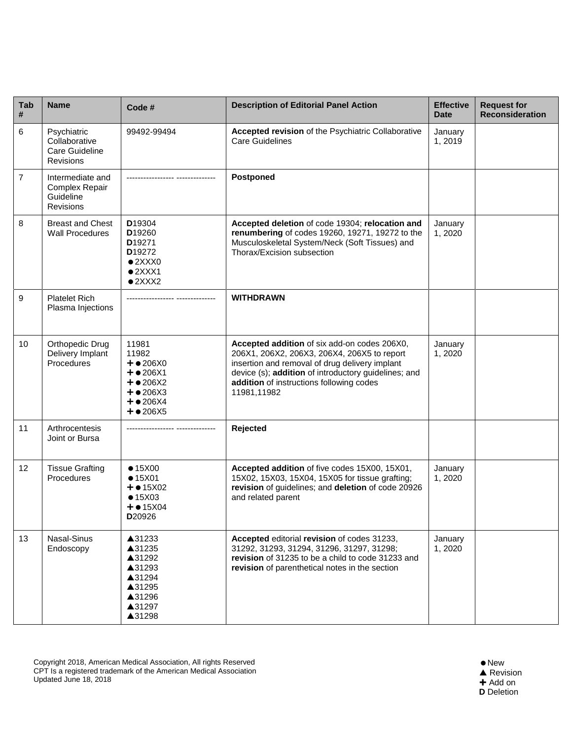| <b>Tab</b><br># | <b>Name</b>                                                  | Code #                                                                                                                                           | <b>Description of Editorial Panel Action</b>                                                                                                                                                                                                                     | <b>Effective</b><br><b>Date</b> | <b>Request for</b><br><b>Reconsideration</b> |
|-----------------|--------------------------------------------------------------|--------------------------------------------------------------------------------------------------------------------------------------------------|------------------------------------------------------------------------------------------------------------------------------------------------------------------------------------------------------------------------------------------------------------------|---------------------------------|----------------------------------------------|
| 6               | Psychiatric<br>Collaborative<br>Care Guideline<br>Revisions  | 99492-99494                                                                                                                                      | Accepted revision of the Psychiatric Collaborative<br><b>Care Guidelines</b>                                                                                                                                                                                     | January<br>1,2019               |                                              |
| $\overline{7}$  | Intermediate and<br>Complex Repair<br>Guideline<br>Revisions |                                                                                                                                                  | Postponed                                                                                                                                                                                                                                                        |                                 |                                              |
| 8               | <b>Breast and Chest</b><br><b>Wall Procedures</b>            | D19304<br>D <sub>19260</sub><br>D <sub>19271</sub><br>D <sub>19272</sub><br>$\bullet$ 2XXX0<br>$•2$ $XXX1$<br>•2XXX2                             | Accepted deletion of code 19304; relocation and<br>renumbering of codes 19260, 19271, 19272 to the<br>Musculoskeletal System/Neck (Soft Tissues) and<br>Thorax/Excision subsection                                                                               | January<br>1,2020               |                                              |
| 9               | <b>Platelet Rich</b><br>Plasma Injections                    |                                                                                                                                                  | <b>WITHDRAWN</b>                                                                                                                                                                                                                                                 |                                 |                                              |
| 10              | <b>Orthopedic Drug</b><br>Delivery Implant<br>Procedures     | 11981<br>11982<br>$+$ $\bullet$ 206X0<br>$+$ $\bullet$ 206X1<br>$+$ $\bullet$ 206X2<br>$+$ $\bullet$ 206X3<br>$+ 0.206X4$<br>$+$ $\bullet$ 206X5 | Accepted addition of six add-on codes 206X0,<br>206X1, 206X2, 206X3, 206X4, 206X5 to report<br>insertion and removal of drug delivery implant<br>device (s); addition of introductory guidelines; and<br>addition of instructions following codes<br>11981,11982 | January<br>1,2020               |                                              |
| 11              | Arthrocentesis<br>Joint or Bursa                             |                                                                                                                                                  | Rejected                                                                                                                                                                                                                                                         |                                 |                                              |
| 12              | <b>Tissue Grafting</b><br>Procedures                         | •15X00<br>•15X01<br>$+$ $\bullet$ 15X02<br>•15X03<br>$+$ $\bullet$ 15X04<br>D20926                                                               | Accepted addition of five codes 15X00, 15X01,<br>15X02, 15X03, 15X04, 15X05 for tissue grafting;<br>revision of guidelines; and deletion of code 20926<br>and related parent                                                                                     | January<br>1,2020               |                                              |
| 13              | Nasal-Sinus<br>Endoscopy                                     | ▲31233<br>▲31235<br>▲31292<br>▲31293<br>▲31294<br>▲31295<br>▲31296<br>▲31297<br>▲31298                                                           | Accepted editorial revision of codes 31233,<br>31292, 31293, 31294, 31296, 31297, 31298;<br>revision of 31235 to be a child to code 31233 and<br>revision of parenthetical notes in the section                                                                  | January<br>1,2020               |                                              |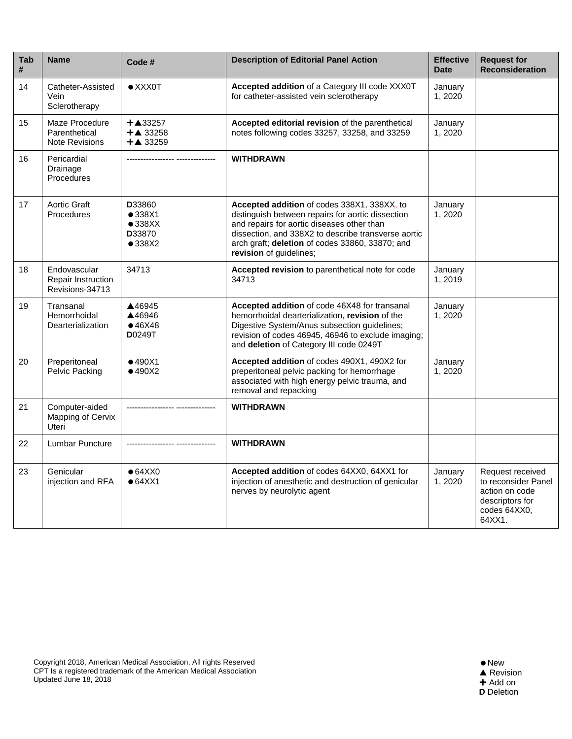| Tab<br># | <b>Name</b>                                              | Code #                                                  | <b>Description of Editorial Panel Action</b>                                                                                                                                                                                                                                        | <b>Effective</b><br><b>Date</b> | <b>Request for</b><br><b>Reconsideration</b>                                                           |
|----------|----------------------------------------------------------|---------------------------------------------------------|-------------------------------------------------------------------------------------------------------------------------------------------------------------------------------------------------------------------------------------------------------------------------------------|---------------------------------|--------------------------------------------------------------------------------------------------------|
| 14       | Catheter-Assisted<br>Vein<br>Sclerotherapy               | $\bullet$ XXX0T                                         | Accepted addition of a Category III code XXX0T<br>for catheter-assisted vein sclerotherapy                                                                                                                                                                                          | January<br>1,2020               |                                                                                                        |
| 15       | Maze Procedure<br>Parenthetical<br><b>Note Revisions</b> | $+$ $\triangle$ 33257<br>$+A$ 33258<br>$+A$ 33259       | Accepted editorial revision of the parenthetical<br>notes following codes 33257, 33258, and 33259                                                                                                                                                                                   | January<br>1,2020               |                                                                                                        |
| 16       | Pericardial<br>Drainage<br>Procedures                    | ----------- ---------------                             | <b>WITHDRAWN</b>                                                                                                                                                                                                                                                                    |                                 |                                                                                                        |
| 17       | <b>Aortic Graft</b><br>Procedures                        | D33860<br>•338X1<br>•338XX<br>D33870<br>$\bullet$ 338X2 | Accepted addition of codes 338X1, 338XX, to<br>distinguish between repairs for aortic dissection<br>and repairs for aortic diseases other than<br>dissection, and 338X2 to describe transverse aortic<br>arch graft; deletion of codes 33860, 33870; and<br>revision of guidelines; | January<br>1,2020               |                                                                                                        |
| 18       | Endovascular<br>Repair Instruction<br>Revisions-34713    | 34713                                                   | Accepted revision to parenthetical note for code<br>34713                                                                                                                                                                                                                           | January<br>1,2019               |                                                                                                        |
| 19       | Transanal<br>Hemorrhoidal<br>Dearterialization           | ▲46945<br>▲46946<br>•46X48<br><b>D</b> 0249T            | Accepted addition of code 46X48 for transanal<br>hemorrhoidal dearterialization, revision of the<br>Digestive System/Anus subsection guidelines;<br>revision of codes 46945, 46946 to exclude imaging;<br>and deletion of Category III code 0249T                                   | January<br>1,2020               |                                                                                                        |
| 20       | Preperitoneal<br>Pelvic Packing                          | •490X1<br>•490X2                                        | Accepted addition of codes 490X1, 490X2 for<br>preperitoneal pelvic packing for hemorrhage<br>associated with high energy pelvic trauma, and<br>removal and repacking                                                                                                               | January<br>1,2020               |                                                                                                        |
| 21       | Computer-aided<br>Mapping of Cervix<br><b>Uteri</b>      |                                                         | <b>WITHDRAWN</b>                                                                                                                                                                                                                                                                    |                                 |                                                                                                        |
| 22       | Lumbar Puncture                                          |                                                         | <b>WITHDRAWN</b>                                                                                                                                                                                                                                                                    |                                 |                                                                                                        |
| 23       | Genicular<br>injection and RFA                           | $• 64$ XX0<br>• 64XX1                                   | Accepted addition of codes 64XX0, 64XX1 for<br>injection of anesthetic and destruction of genicular<br>nerves by neurolytic agent                                                                                                                                                   | January<br>1,2020               | Request received<br>to reconsider Panel<br>action on code<br>descriptors for<br>codes 64XX0,<br>64XX1. |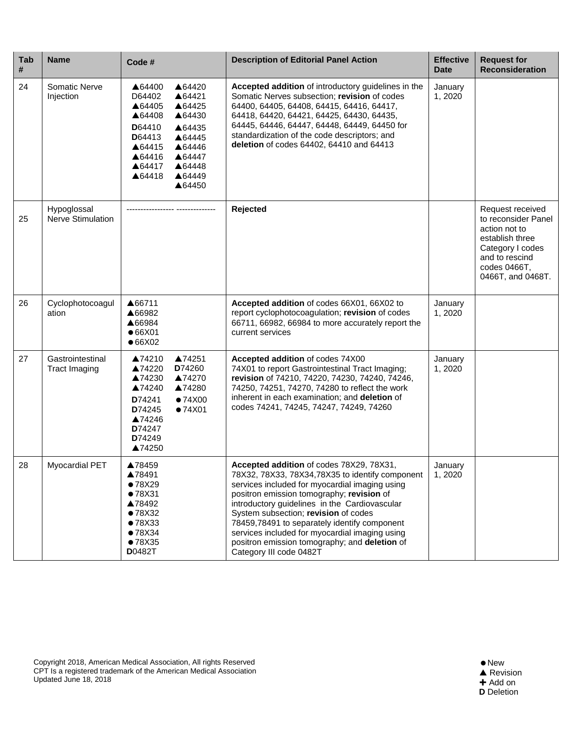| Tab<br># | <b>Name</b>                              | Code #                                                                                                                                                                                                         | <b>Description of Editorial Panel Action</b>                                                                                                                                                                                                                                                                                                                                                                                                                       | <b>Effective</b><br><b>Date</b> | <b>Request for</b><br><b>Reconsideration</b>                                                                                                           |
|----------|------------------------------------------|----------------------------------------------------------------------------------------------------------------------------------------------------------------------------------------------------------------|--------------------------------------------------------------------------------------------------------------------------------------------------------------------------------------------------------------------------------------------------------------------------------------------------------------------------------------------------------------------------------------------------------------------------------------------------------------------|---------------------------------|--------------------------------------------------------------------------------------------------------------------------------------------------------|
| 24       | Somatic Nerve<br>Injection               | ▲64420<br>▲64400<br>D64402<br>▲64421<br>▲64405<br>▲64425<br>▲64430<br>▲64408<br>D64410<br>▲64435<br>D64413<br>▲64445<br>▲64415<br>▲64446<br>▲64416<br>▲64447<br>▲64417<br>▲64448<br>▲64449<br>▲64418<br>▲64450 | Accepted addition of introductory guidelines in the<br>Somatic Nerves subsection; revision of codes<br>64400, 64405, 64408, 64415, 64416, 64417,<br>64418, 64420, 64421, 64425, 64430, 64435,<br>64445, 64446, 64447, 64448, 64449, 64450 for<br>standardization of the code descriptors; and<br>deletion of codes 64402, 64410 and 64413                                                                                                                          | January<br>1,2020               |                                                                                                                                                        |
| 25       | Hypoglossal<br>Nerve Stimulation         |                                                                                                                                                                                                                | Rejected                                                                                                                                                                                                                                                                                                                                                                                                                                                           |                                 | Request received<br>to reconsider Panel<br>action not to<br>establish three<br>Category I codes<br>and to rescind<br>codes 0466T.<br>0466T, and 0468T. |
| 26       | Cyclophotocoagul<br>ation                | ▲66711<br>▲66982<br>▲66984<br>•66X01<br>•66X02                                                                                                                                                                 | Accepted addition of codes 66X01, 66X02 to<br>report cyclophotocoagulation; revision of codes<br>66711, 66982, 66984 to more accurately report the<br>current services                                                                                                                                                                                                                                                                                             | January<br>1,2020               |                                                                                                                                                        |
| 27       | Gastrointestinal<br><b>Tract Imaging</b> | ▲74251<br>▲74210<br>D74260<br>▲74220<br>▲74230<br>▲74270<br>▲74240<br>▲74280<br>D74241<br>•74X00<br>D74245<br>•74X01<br>▲74246<br>D74247<br>D74249<br>▲74250                                                   | Accepted addition of codes 74X00<br>74X01 to report Gastrointestinal Tract Imaging;<br>revision of 74210, 74220, 74230, 74240, 74246,<br>74250, 74251, 74270, 74280 to reflect the work<br>inherent in each examination; and deletion of<br>codes 74241, 74245, 74247, 74249, 74260                                                                                                                                                                                | January<br>1,2020               |                                                                                                                                                        |
| 28       | <b>Myocardial PET</b>                    | ▲78459<br>▲78491<br>•78X29<br>●78X31<br>▲78492<br>•78X32<br>•78X33<br>•78X34<br>•78X35<br><b>D</b> 0482T                                                                                                       | Accepted addition of codes 78X29, 78X31,<br>78X32, 78X33, 78X34, 78X35 to identify component<br>services included for myocardial imaging using<br>positron emission tomography; revision of<br>introductory guidelines in the Cardiovascular<br>System subsection; revision of codes<br>78459,78491 to separately identify component<br>services included for myocardial imaging using<br>positron emission tomography; and deletion of<br>Category III code 0482T | January<br>1,2020               |                                                                                                                                                        |

Copyright 2018, American Medical Association, All rights Reserved CPT Is a registered trademark of the American Medical Association Updated June 18, 2018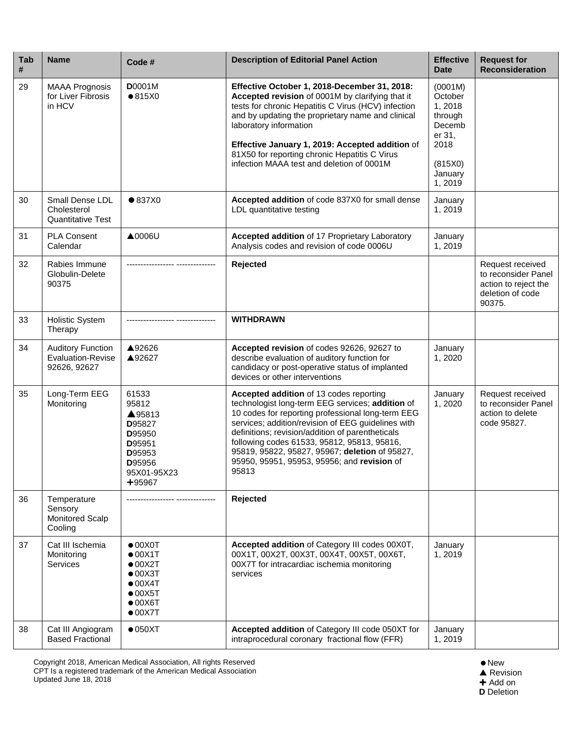| Tab<br># | <b>Name</b>                                                          | Code #                                                                                                                                               | <b>Description of Editorial Panel Action</b>                                                                                                                                                                                                                                                                                                                                                                        | <b>Effective</b><br><b>Date</b>                                                                      | <b>Request for</b><br><b>Reconsideration</b>                                                  |
|----------|----------------------------------------------------------------------|------------------------------------------------------------------------------------------------------------------------------------------------------|---------------------------------------------------------------------------------------------------------------------------------------------------------------------------------------------------------------------------------------------------------------------------------------------------------------------------------------------------------------------------------------------------------------------|------------------------------------------------------------------------------------------------------|-----------------------------------------------------------------------------------------------|
| 29       | <b>MAAA Prognosis</b><br>for Liver Fibrosis<br>in HCV                | <b>D</b> 0001M<br>•815X0                                                                                                                             | Effective October 1, 2018-December 31, 2018:<br>Accepted revision of 0001M by clarifying that it<br>tests for chronic Hepatitis C Virus (HCV) infection<br>and by updating the proprietary name and clinical<br>laboratory information<br>Effective January 1, 2019: Accepted addition of<br>81X50 for reporting chronic Hepatitis C Virus<br>infection MAAA test and deletion of 0001M                             | (0001M)<br>October<br>1,2018<br>through<br>Decemb<br>er 31,<br>2018<br>(815X0)<br>January<br>1, 2019 |                                                                                               |
| 30       | Small Dense LDL<br>Cholesterol<br><b>Quantitative Test</b>           | • 837X0                                                                                                                                              | Accepted addition of code 837X0 for small dense<br>LDL quantitative testing                                                                                                                                                                                                                                                                                                                                         | January<br>1,2019                                                                                    |                                                                                               |
| 31       | <b>PLA Consent</b><br>Calendar                                       | $\triangle$ 0006U                                                                                                                                    | Accepted addition of 17 Proprietary Laboratory<br>Analysis codes and revision of code 0006U                                                                                                                                                                                                                                                                                                                         | January<br>1,2019                                                                                    |                                                                                               |
| 32       | Rabies Immune<br>Globulin-Delete<br>90375                            | ----------- ------                                                                                                                                   | Rejected                                                                                                                                                                                                                                                                                                                                                                                                            |                                                                                                      | Request received<br>to reconsider Panel<br>action to reject the<br>deletion of code<br>90375. |
| 33       | <b>Holistic System</b><br>Therapy                                    |                                                                                                                                                      | <b>WITHDRAWN</b>                                                                                                                                                                                                                                                                                                                                                                                                    |                                                                                                      |                                                                                               |
| 34       | <b>Auditory Function</b><br><b>Evaluation-Revise</b><br>92626, 92627 | ▲92626<br>▲92627                                                                                                                                     | Accepted revision of codes 92626, 92627 to<br>describe evaluation of auditory function for<br>candidacy or post-operative status of implanted<br>devices or other interventions                                                                                                                                                                                                                                     | January<br>1,2020                                                                                    |                                                                                               |
| 35       | Long-Term EEG<br>Monitoring                                          | 61533<br>95812<br>▲95813<br>D95827<br>D95950<br>D95951<br>D95953<br>D95956<br>95X01-95X23<br>$+95967$                                                | Accepted addition of 13 codes reporting<br>technologist long-term EEG services; addition of<br>10 codes for reporting professional long-term EEG<br>services; addition/revision of EEG guidelines with<br>definitions; revision/addition of parentheticals<br>following codes 61533, 95812, 95813, 95816,<br>95819, 95822, 95827, 95967; deletion of 95827,<br>95950, 95951, 95953, 95956; and revision of<br>95813 | January<br>1,2020                                                                                    | Request received<br>to reconsider Panel<br>action to delete<br>code 95827.                    |
| 36       | Temperature<br>Sensory<br>Monitored Scalp<br>Cooling                 |                                                                                                                                                      | Rejected                                                                                                                                                                                                                                                                                                                                                                                                            |                                                                                                      |                                                                                               |
| 37       | Cat III Ischemia<br>Monitoring<br>Services                           | $\bullet$ 00X0T<br>$\bullet$ 00X1T<br>$\bullet$ 00X2T<br>$\bullet$ 00X3T<br>$\bullet$ 00X4T<br>$\bullet$ 00X5T<br>$\bullet$ 00X6T<br>$\bullet$ 00X7T | Accepted addition of Category III codes 00X0T,<br>00X1T, 00X2T, 00X3T, 00X4T, 00X5T, 00X6T,<br>00X7T for intracardiac ischemia monitoring<br>services                                                                                                                                                                                                                                                               | January<br>1,2019                                                                                    |                                                                                               |
| 38       | Cat III Angiogram<br><b>Based Fractional</b>                         | $\bullet$ 050XT                                                                                                                                      | Accepted addition of Category III code 050XT for<br>intraprocedural coronary fractional flow (FFR)                                                                                                                                                                                                                                                                                                                  | January<br>1,2019                                                                                    |                                                                                               |

Copyright 2018, American Medical Association, All rights Reserved CPT Is a registered trademark of the American Medical Association Updated June 18, 2018

 $\bullet$  New ▲ Revision ╋ Add on

**D** Deletion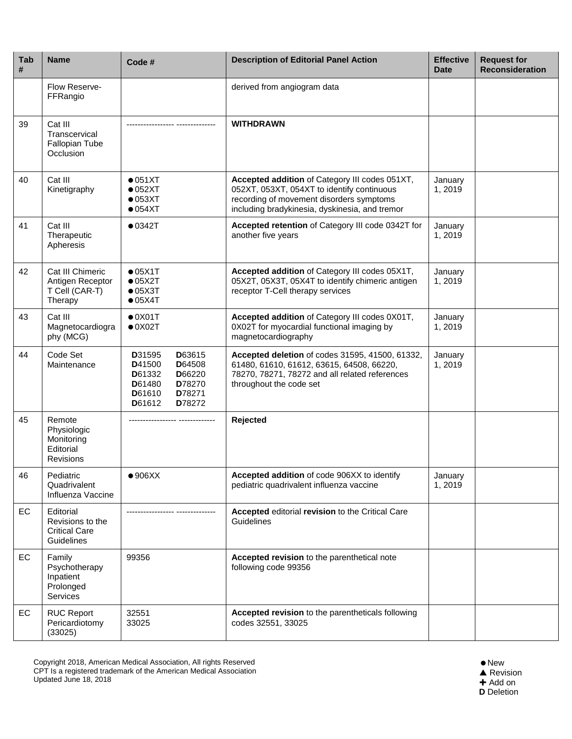| Tab<br># | <b>Name</b>                                                          | Code #                                                                                                               | <b>Description of Editorial Panel Action</b>                                                                                                                                               | <b>Effective</b><br><b>Date</b> | <b>Request for</b><br><b>Reconsideration</b> |
|----------|----------------------------------------------------------------------|----------------------------------------------------------------------------------------------------------------------|--------------------------------------------------------------------------------------------------------------------------------------------------------------------------------------------|---------------------------------|----------------------------------------------|
|          | Flow Reserve-<br>FFRangio                                            |                                                                                                                      | derived from angiogram data                                                                                                                                                                |                                 |                                              |
| 39       | Cat III<br>Transcervical<br>Fallopian Tube<br>Occlusion              |                                                                                                                      | <b>WITHDRAWN</b>                                                                                                                                                                           |                                 |                                              |
| 40       | Cat III<br>Kinetigraphy                                              | $\bullet$ 051XT<br>$\bullet$ 052XT<br>$\bullet$ 053XT<br>$\bullet$ 054XT                                             | Accepted addition of Category III codes 051XT,<br>052XT, 053XT, 054XT to identify continuous<br>recording of movement disorders symptoms<br>including bradykinesia, dyskinesia, and tremor | January<br>1,2019               |                                              |
| 41       | Cat III<br>Therapeutic<br>Apheresis                                  | •0342T                                                                                                               | Accepted retention of Category III code 0342T for<br>another five years                                                                                                                    | January<br>1,2019               |                                              |
| 42       | Cat III Chimeric<br>Antigen Receptor<br>T Cell (CAR-T)<br>Therapy    | •05X1T<br>$\bullet$ 05X2T<br>$\bullet$ 05X3T<br>•05X4T                                                               | Accepted addition of Category III codes 05X1T,<br>05X2T, 05X3T, 05X4T to identify chimeric antigen<br>receptor T-Cell therapy services                                                     | January<br>1,2019               |                                              |
| 43       | Cat III<br>Magnetocardiogra<br>phy (MCG)                             | $\bullet$ 0X01T<br>$\bullet$ 0X02T                                                                                   | Accepted addition of Category III codes 0X01T,<br>0X02T for myocardial functional imaging by<br>magnetocardiography                                                                        | January<br>1,2019               |                                              |
| 44       | Code Set<br>Maintenance                                              | D31595<br>D63615<br>D41500<br>D64508<br>D61332<br>D66220<br>D61480<br>D78270<br>D61610<br>D78271<br>D61612<br>D78272 | Accepted deletion of codes 31595, 41500, 61332,<br>61480, 61610, 61612, 63615, 64508, 66220,<br>78270, 78271, 78272 and all related references<br>throughout the code set                  | January<br>1,2019               |                                              |
| 45       | Remote<br>Physiologic<br>Monitoring<br>Editorial<br><b>Revisions</b> |                                                                                                                      | Rejected                                                                                                                                                                                   |                                 |                                              |
| 46       | Pediatric<br>Quadrivalent<br>Influenza Vaccine                       | • 906XX                                                                                                              | Accepted addition of code 906XX to identify<br>pediatric quadrivalent influenza vaccine                                                                                                    | January<br>1,2019               |                                              |
| EC       | Editorial<br>Revisions to the<br><b>Critical Care</b><br>Guidelines  |                                                                                                                      | Accepted editorial revision to the Critical Care<br>Guidelines                                                                                                                             |                                 |                                              |
| EC       | Family<br>Psychotherapy<br>Inpatient<br>Prolonged<br>Services        | 99356                                                                                                                | Accepted revision to the parenthetical note<br>following code 99356                                                                                                                        |                                 |                                              |
| EC       | <b>RUC Report</b><br>Pericardiotomy<br>(33025)                       | 32551<br>33025                                                                                                       | Accepted revision to the parentheticals following<br>codes 32551, 33025                                                                                                                    |                                 |                                              |